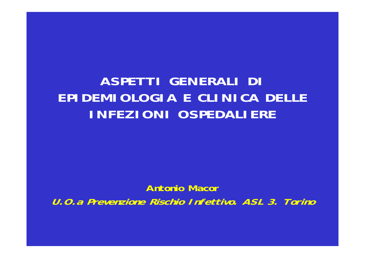## **ASPETTI GENERALI DI** EPIDEMIOLOGIA E CLINICA DELLE **INFEZIONI OSPEDALIERE**

**Antonio Macor** U.O.a Prevenzione Rischio Infettivo. ASL 3. Torino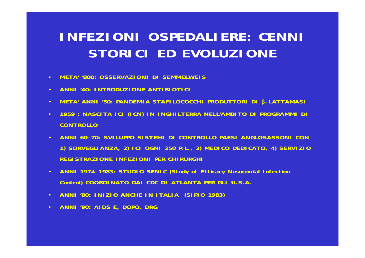## **INFEZIONI OSPEDALIERE: CENNI STORICI ED EVOLUZIONE**

- **META' '800: OSSERVAZIONI DI SEMMELWEIS**
- **ANNI '40: INTRODUZIONE ANTIBIOTICI**
- **META' ANNI '50: PANDEMIA STAFILOCOCCHI PRODUTTORI DI**  β**-LATTAMASI**
- **1959 : NASCITA ICI (ICN) IN INGHILTERRA NELL'AMBITO DI PROGRAMMI DI CONTROLLO**
- **ANNI 60-70: SVILUPPO SISTEMI DI CONTROLLO PAESI ANGLOSASSONI CON 1) SORVEGLIANZA, 2) ICI OGNI 250 P.L., 3) MEDICO DEDICATO, 4) SERVIZIO REGISTRAZIONE INFEZIONI PER CHIRURGHI**
- **ANNI 1974-1983: STUDIO SENIC (Study of Efficacy Nosocomial Infection Control) COORDINATO DAI CDC DI ATLANTA PER GLI U.S.A.**
- **ANNI '80: INIZIO ANCHE IN ITALIA (SIPIO 1983)**
- **ANNI '90: AIDS E, DOPO, DRG**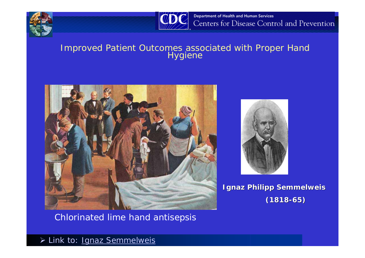



# Improved Patient Outcomes associated with Proper Hand Hygiene







**Ignaz Philipp Semmelweis (1818-65)**

#### ¾ *Link to: Ignaz Semmelweis*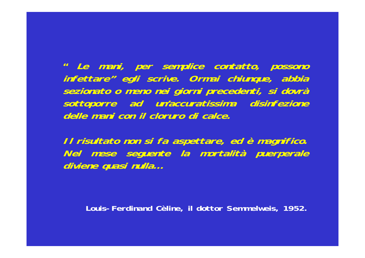**" Le mani, per semplice contatto, possono infettare" egli scrive. Ormai chiunque, abbia sezionato o meno nei giorni precedenti, si dovrà sottoporre ad un'accuratissima disinfezione delle mani con il cloruro di calce.**

**Il risultato non si fa aspettare, ed è magnifico. Nel mese seguente la mortalità puerperale diviene quasi nulla…**

**Louis-Ferdinand Cèline, il dottor Semmelweis, 1952.**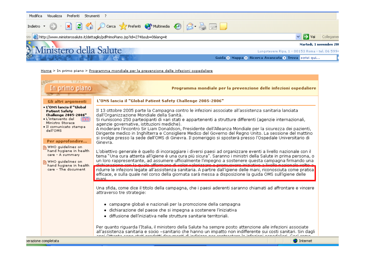×

Indietro \*

 $\vert z \vert$ 

Ministero della Salute

#### $\otimes$   $\otimes$   $\Box$ Cerca & Preferiti Multimedia &

zo **& h**ttp://www.ministerosalute.it/dettaglio/pdPrimoPiano.jsp?id=274&sub=0&lang=it

 $\checkmark$  $\Rightarrow$  Vai Collegame

#### Martedi, 1 novembre 20

Lungotevere Ripa, 1 - 00153 Roma - tel. 06 599

Guida () Mappa () Ricerca Avanzata () Trova scrivi qui...

#### Home > In primo piano > Programma mondiale per la prevenzione delle infezioni ospedaliere

| In primo piano                                                                                                                                                                        | Programma mondiale per la prevenzione delle infezioni ospedaliere                                                                                                                                                                                                                                                                                                                                                                                                                                                                                                                                                                                                                                   |
|---------------------------------------------------------------------------------------------------------------------------------------------------------------------------------------|-----------------------------------------------------------------------------------------------------------------------------------------------------------------------------------------------------------------------------------------------------------------------------------------------------------------------------------------------------------------------------------------------------------------------------------------------------------------------------------------------------------------------------------------------------------------------------------------------------------------------------------------------------------------------------------------------------|
| Gli altri argomenti                                                                                                                                                                   | L'OMS lancia il "Global Patient Safety Challenge 2005-2006"                                                                                                                                                                                                                                                                                                                                                                                                                                                                                                                                                                                                                                         |
| • L'OMS lancia il "Global<br><b>Patient Safety</b><br><b>Challenge 2005-2006"</b><br>· L'intervento del<br>Ministro Storace<br>• Il comunicato stampa<br>dell'OMS<br>Per approfondire | Il 13 ottobre 2005 parte la Campagna contro le infezioni associate all'assistenza sanitaria lanciata<br>dall'Organizzazione Mondiale della Sanità.<br>Si riuniscono 250 partecipanti di vari stati e appartenenti a strutture differenti (agenzie internazionali,<br>agenzie governative, istituzioni mediche).<br>A moderare l'incontro Sir Liam Donaldson, Presidente dell'Alleanza Mondiale per la sicurezza dei pazienti,<br>Dirigente medico in Inghilterra e Consigliere Medico del Governo del Regno Unito. La sessione del mattino<br>si svolge presso la sede dell'OMS di Ginevra. Il pomeriggio si sposterà presso l'Ospedale Universitario di I<br>Ginevra.                              |
| B WHO guidelines on<br>hand hygiene in health<br>care - A summary<br>B WHO guidelines on<br>hand hygiene in health<br>care - The document                                             | L'obiettivo generale è quello di incoraggiare i diversi paesi ad organizzare eventi a livello nazionale con il<br>tema "Una cura attenta all'igiene è una cura più sicura". Saranno i ministri della Salute in prima persona, o<br>un loro rappresentante, ad assumere ufficialmente l'impegno a sostenere questa campagna firmando una<br>dichiarazione con la quale afformane di voler valerizzare e promuovere iniziative a livelle nazionale volte a<br>ridurre le infezioni legate all'assistenza sanitaria. A partire dall'igiene delle mani, riconosciuta come pratica<br>efficace, e sulla quale nel corso della giornata sarà messa a disposizione la guida OMS sull'igiene delle<br>mani. |
|                                                                                                                                                                                       | Una sfida, come dice il titolo della campagna, che i paesi aderenti saranno chiamati ad affrontare e vincere<br>attraverso tre strategie:                                                                                                                                                                                                                                                                                                                                                                                                                                                                                                                                                           |
|                                                                                                                                                                                       | · campagne globali e nazionali per la promozione della campagna<br>· dichiarazione del paese che si impegna a sostenere l'iniziativa<br>$\bullet$ diffusione dell'iniziativa nelle strutture sanitarie territoriali.                                                                                                                                                                                                                                                                                                                                                                                                                                                                                |
|                                                                                                                                                                                       | Per quanto riguarda l'Italia, il ministero della Salute ha sempre posto attenzione alle infezioni associate<br>all'assistenza sanitaria e socio –sanitario che hanno un impatto non indifferente sui costi sanitari. Sin dagli<br>anni Ottanta cono ctati neodotti documenti di indiriano non contractaro lo infogioni ocnodaliori. Cocì como                                                                                                                                                                                                                                                                                                                                                       |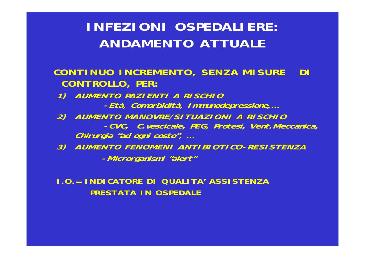## **INFEZIONI OSPEDALIERE: ANDAMENTO ATTUALE**

#### **CONTINUO INCREMENTO, SENZA MISURE DI CONTROLLO, PER:**

- **1) AUMENTO PAZIENTI A RISCHIO -Età, Comorbidità, Immunodepressione,…**
- **2) AUMENTO MANOVRE/SITUAZIONI A RISCHIO -CVC, C.vescicale, PEG, Protesi, Vent.Meccanica, Chirurgia "ad ogni costo", …**
- **3) AUMENTO FENOMENI ANTIBIOTICO-RESISTENZA -Microrganismi "alert"**

#### **I.O.= INDICATORE DI QUALITA' ASSISTENZA PRESTATA IN OSPEDALE**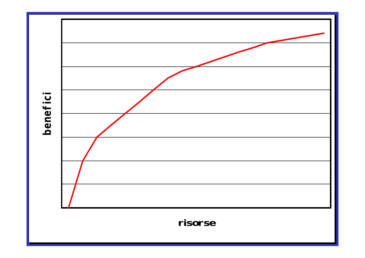

#### **risorse**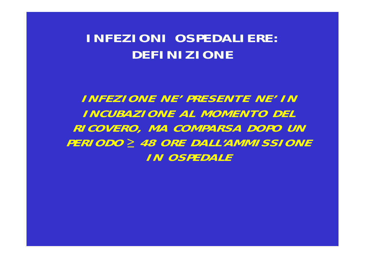### **INFEZIONI OSPEDALIERE: DEFINIZIONE**

**INFEZIONE NE' PRESENTE NE' IN INCUBAZIONE AL MOMENTO DEL RICOVERO, MA COMPARSA DOPO UN PERIODO**  *≥* **48 ORE DALL'AMMISSIONE IN OSPEDALE**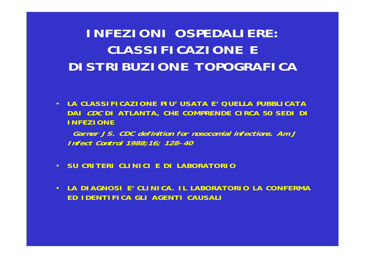## **INFEZIONI OSPEDALIERE: CLASSIFICAZIONE E DISTRIBUZIONE TOPOGRAFICA**

• **LA CLASSIFICAZIONE PIU' USATA E' QUELLA PUBBLICATA DAI CDC DI ATLANTA, CHE COMPRENDE CIRCA 50 SEDI DI INFEZIONE**

**Garner JS. CDC definition for nosocomial infections. Am J Infect Control 1988;16; 128-40**

- **SU CRITERI CLINICI E DI LABORATORIO**
- **LA DIAGNOSI E' CLINICA. IL LABORATORIO LA CONFERMA ED IDENTIFICA GLI AGENTI CAUSALI**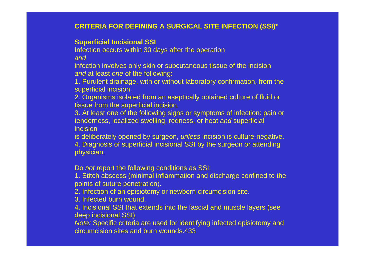#### **CRITERIA FOR DEFINING A SURGICAL SITE INFECTION (SSI)\***

#### **Superficial Incisional SSI**

Infection occurs within 30 days after the operation *and*

infection involves only skin or subcutaneous tissue of the incision *and* at least *one* of the following:

1. Purulent drainage, with or without laboratory confirmation, from the superficial incision.

2. Organisms isolated from an aseptically obtained culture of fluid or tissue from the superficial incision.

3. At least one of the following signs or symptoms of infection: pain or tenderness, localized swelling, redness, or heat *and* superficial incision

is deliberately opened by surgeon, *unless* incision is culture-negative.

4. Diagnosis of superficial incisional SSI by the surgeon or attending physician.

#### Do *not* report the following conditions as SSI:

1. Stitch abscess (minimal inflammation and discharge confined to the points of suture penetration).

2. Infection of an episiotomy or newborn circumcision site.

3. Infected burn wound.

4. Incisional SSI that extends into the fascial and muscle layers (see deep incisional SSI).

*Note:* Specific criteria are used for identifying infected episiotomy and circumcision sites and burn wounds.433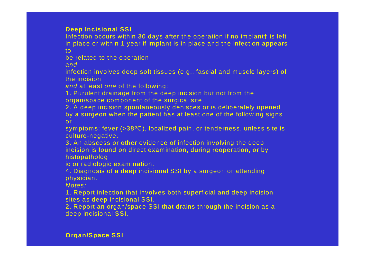#### **Deep Incisional SSI**

Infection occurs within 30 days after the operation if no implant† is left in place or within 1 year if implant is in place and the infection appears to

be related to the operation

*and*

infection involves deep soft tissues (e.g., fascial and muscle layers) of the incision

*and* at least *one* of the following:

1. Purulent drainage from the deep incision but not from the organ/space component of the surgical site.

2. A deep incision spontaneously dehisces or is deliberately opened by a surgeon when the patient has at least one of the following signs or

symptoms: fever (>38ºC), localized pain, or tenderness, unless site is culture-negative.

3. An abscess or other evidence of infection involving the deep incision is found on direct examination, during reoperation, or by histopatholog

ic or radiologic examination.

4. Diagnosis of a deep incisional SSI by a surgeon or attending physician.

*Notes:*

1. Report infection that involves both superficial and deep incision sites as deep incisional SSI.

2. Report an organ/space SSI that drains through the incision as a deep incisional SSI.

**Organ/Space SSI**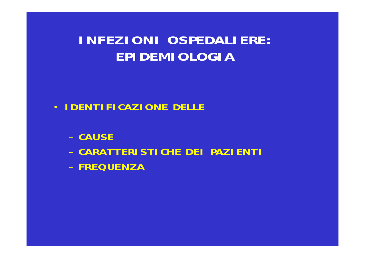### **INFEZIONI OSPEDALIERE: EPI DEMI OLOGIA**

- **· IDENTIFICAZIONE DELLE** 
	- CAUSE
	- CARATTERISTICHE DEI PAZIENTI
	- FREQUENZA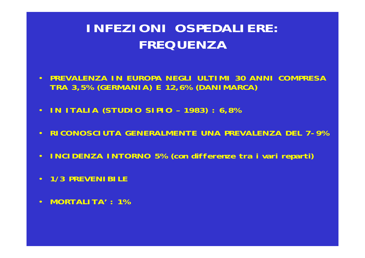## **INFEZIONI OSPEDALIERE: FREQUENZA**

- **PREVALENZA IN EUROPA NEGLI ULTIMI 30 ANNI COMPRESA TRA 3,5% (GERMANIA) E 12,6% (DANIMARCA)**
- **IN ITALIA (STUDIO SIPIO – 1983) : 6,8%**
- **RICONOSCIUTA GENERALMENTE UNA PREVALENZA DEL 7-9%**
- **INCIDENZA INTORNO 5% (con differenze tra i vari reparti)**
- **1/3 PREVENIBILE**
- **MORTALITA' : 1%**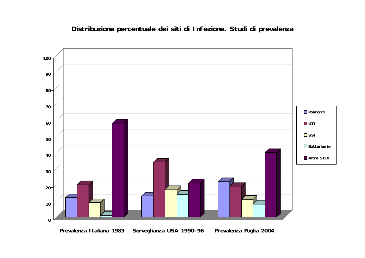#### **Distribuzione percentuale dei siti di Infezione. Studi di prevalenza**

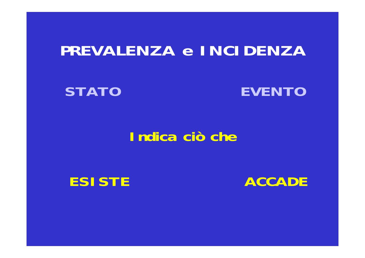# PREVALENZA e INCIDENZA

**STATO** 

**EVENTO** 

## Indica ciò che



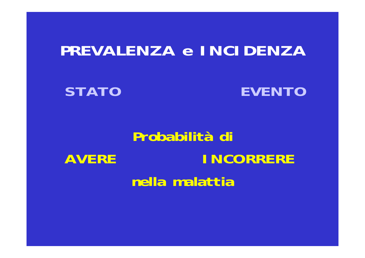# **PREVALENZA e INCIDENZA**

**STATO**

**EVENTO**

### **Probabilità di AVERE INCORRERE nella malattia**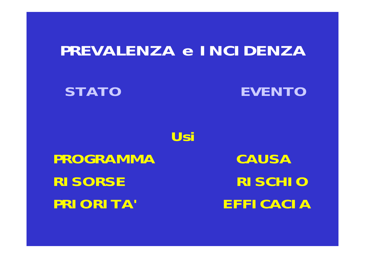# PREVALENZA e INCIDENZA

**STATO** 

**EVENTO** 

Usi

**PROGRAMMA RISORSE PRIORITA'** 

**CAUSA RISCHIO EFFICACIA**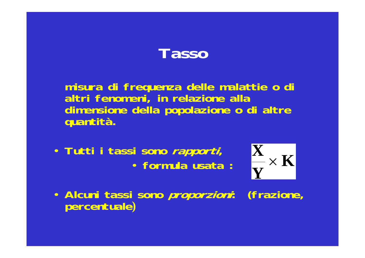# **Tasso**

**misura di frequenza delle malattie o di altri fenomeni, in relazione alla dimensione della popolazione o di altre quantità.**

• **Tutti i tassi sono rapporti,**  • **formula usata :**



• **Alcuni tassi sono proporzioni: (frazione, percentuale)**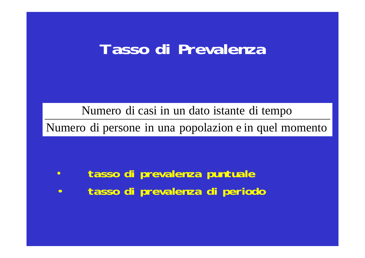# **Tasso di Prevalenza**

Numero di casi in un dato istante di tempo

Numero di persone in una popolazion e in quel momento

- •**tasso di prevalenza puntuale**
- •**tasso di prevalenza di periodo**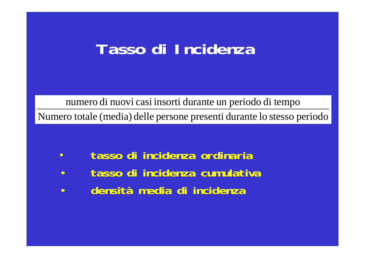# **Tasso di Incidenza**

numero di nuovi casi insorti durante un periodo di tempo

Numero totale (media) delle persone presenti durante lo stesso periodo

- $\bullet$ **tasso di incidenza ordinaria**
- $\bullet$ **tasso di incidenza cumulativa**
- $\bullet$ **densità media di incidenza**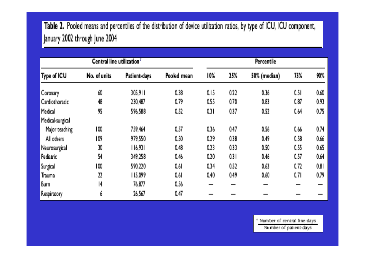Table 2. Pooled means and percentiles of the distribution of device utilization ratios, by type of ICU, ICU component, January 2002 through June 2004

| Central line utilization <sup>1</sup> |                           |              |             | Percentile |      |              |      |      |
|---------------------------------------|---------------------------|--------------|-------------|------------|------|--------------|------|------|
| Type of ICU                           | No. of units              | Patient-days | Pooled mean | 10%        | 25%  | 50% (median) | 75%  | 90%  |
| Coronary                              | 60                        | 305,911      | 0.38        | 0.15       | 0.22 | 0.36         | 0.51 | 0.60 |
| Cardiothoracic                        | 梢                         | 230,487      | 0.79        | 0.55       | 0.70 | 0.83         | 0.87 | 0.93 |
| Medical                               | 95                        | 596,588      | 0.52        | 0.31       | 0.37 | 0.52         | 0.64 | 0.75 |
| Medical-surgical                      |                           |              |             |            |      |              |      |      |
| Major teaching                        | 100                       | 759,464      | 0.57        | 0.36       | 0.47 | 0.56         | 0.66 | 0.74 |
| All others                            | 109                       | 979,550      | 0.50        | 0.29       | 0.38 | 0.49         | 0.58 | 0.66 |
| Neurosurgical                         | 30.                       | 116,931      | 0.48        | 0.23       | 0.33 | 0.50         | 0.55 | 0.65 |
| Pediatric                             | 54                        | 349,258      | 0.46        | 0.20       | 0.31 | 0.46         | 0.57 | 0.64 |
| Surgical                              | 100                       | 590,220      | 0.61        | 0.34       | 0.52 | 0.63         | 0.72 | 0.81 |
| Trauma                                | $\boldsymbol{\mathit{2}}$ | 115,099      | 0.61        | 0.40       | 0.49 | 0.60         | 0.71 | 0.79 |
| Burn                                  | 14                        | 76,877       | 0.56        |            |      |              |      |      |
| Respiratory                           | 6                         | 26,567       | 0.47        |            |      |              |      |      |

<sup>+</sup> Number of central line-days

Number of patient-days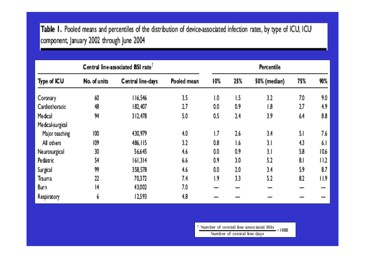Table 1. Pooled means and percentiles of the distribution of device-associated infection rates, by type of ICU, ICU component, January 2002 through June 2004

| Central line-associated BSI rate <sup>1</sup> |              |                   |             | Percentile |     |                  |     |      |
|-----------------------------------------------|--------------|-------------------|-------------|------------|-----|------------------|-----|------|
| Type of ICU                                   | No. of units | Central line-days | Pooled mean | 10%        | 25% | 50% (median)     | 75% | 90%  |
| Coronary                                      | 60           | 116,546           | 3.5         | I.O        | 1.5 | 32               | 7,0 | 9.0  |
| Cardiothoracic                                | 48           | 182,407           | 27          | 0.0        | 0.9 | 1.8              | 27  | 4.9  |
| Medical                                       | 94           | 312,478           | 5.0         | 0.5        | 24  | 3.9              | 64  | 8.8  |
| Medical-surgical                              |              |                   |             |            |     |                  |     |      |
| Major teaching                                | 100          | 430,979           | 40          | IJ         | 26  | 3.4 <sub>1</sub> | 5.1 | 7.6  |
| All others                                    | 109          | 486, 115          | 32          | 0.8        | 1.6 | 3.1              | 43  | 6.1  |
| Neurosurgical                                 | 30           | 56,645            | 46          | 0.0        | 0.9 | 3.1              | 5,8 | 10.6 |
| Pediatric                                     | 54           | 161,314           | 6.6         | 0.9        | 3.0 | 5.2              | 81  | 112  |
| Surgical                                      | 99           | 358,578           | 4.6         | 0.0        | 2.0 | 3.4              | 5.9 | 8.7  |
| Trauma                                        | 22           | 70,372            | 7.4         | 1.9        | 33. | 5.2              | 82  | 11.9 |
| Burn                                          | 14           | 43,002            | 7.0         |            |     |                  |     |      |
| Respiratory                                   | 6            | 12,593            | 48          |            |     |                  |     |      |

 $+$  Number of central line-associated BSIs  $\times$ 1000 Number of central line-days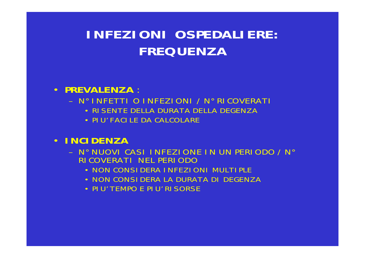### **INFEZIONI OSPEDALIERE: FREQUENZA**

#### • **PREVALENZA** :

- N°INFETTI OINFEZIONI / N°RICOVERAT
	- RI SENTE DELLA DURATA DELLA DEGENZA
	- PIU' FACILE DA CALCOLARE
- **INCIDENZA**
	- N° NUOVI CASI INFEZIONE IN UN PERIODO / N° RICOVERATI NEL PERIODO
		- NON CONSIDERA INFEZIONI MULTIPLE
		- NON CONSI DERA LA DURATA DI DEGENZA
		- PIU' TEMPO E PIU' RISORSE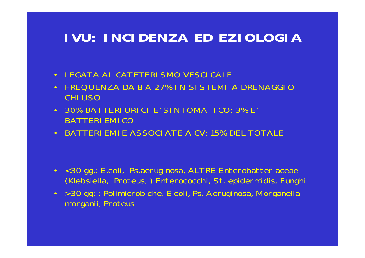## **IVU: INCIDENZA ED EZIOLOGIA**

- LEGATA AL CATETERISMO VESCICALE
- • FREQUENZA DA 8 A 27% IN SISTEMI A DRENAGGIO CHIUSO
- 30% BATTERIURICI E' SINTOMATICO; 3% E' BATTERIEMICO
- BATTERIEMIE ASSOCIATE A CV: 15% DEL TOTALE

- < 30 gg.: E.coli, Ps.aeruginosa, ALTRE Enterobatteriaceae (Klebsiella, Proteus, ) Enterococchi, St. epidermidis, Funghi
- > 30 gg: : Polimicrobiche. E.coli, Ps. Aeruginosa, Morganella morganii, Proteus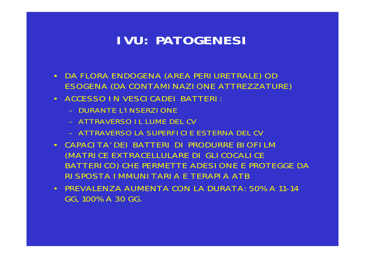## **IVU: PATOGENESI**

- DA FLORA ENDOGENA (AREA PERIURETRALE) OD ESOGENA (DA CONTAMINAZIONE ATTREZZATURE)
- ACCESSO IN VESCICADEI BATTERI:
	- DURANTE L'INSERZIONE
	- ATTRAVERSO IL LUME DEL CV
	- ATTRAVERSO LA SUPERFICIE ESTERNA DEL CV
- CAPACITA' DEI BATTERI DI PRODURRE BIOFILM (MATRICE EXTRACELLULARE DI GLICOCALICE BATTERICO) CHE PERMETTE ADESIONE E PROTEGGE DA RISPOSTA IMMUNITARIA E TERAPIA ATB
- PREVALENZA AUMENTA CON LA DURATA: 50% A 11-14 GG, 100% A 30 GG.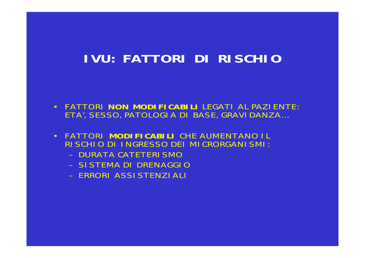### **IVU: FATTORI DI RISCHIO**

- FATTORI NON MODIFICABILI LEGATI AL PAZIENTE: ETA', SESSO, PATOLOGIA DI BASE, GRAVIDANZA....
- FATTORI MODIFICABILI CHE AUMENTANO IL RISCHIO DI INGRESSO DEI MICRORGANISMI:
	- DURATA CATETERI SMO
	- SISTEMA DI DRENAGGIO
	- FRRORI ASSISTENZIALI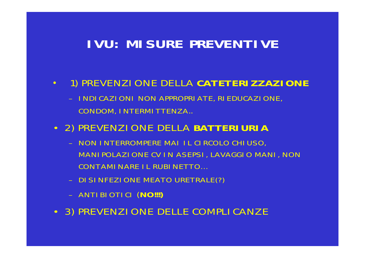## **IVU: MISURE PREVENTIVE**

#### $\bullet$ 1) PREVENZIONE DELLA **CATETERIZZAZIONE**

– INDICAZIONI NON APPROPRIATE, RIEDUCAZIONE, CONDOM, INTERMITTENZA..

#### • 2) PREVENZIONE DELLA **BATTERIURIA**

- NON INTERROMPERE MAI IL CIRCOLO CHIUSO, MANIPOLAZIONE CV IN ASEPSI, LAVAGGIO MANI, NON CONTAMINARE IL RUBINETTO…
- DISINFEZIONE MEATO URETRALE(?)
- ANTIBIOTICI (**NO!!!)**
- 3) PREVENZIONE DELLE COMPLICANZE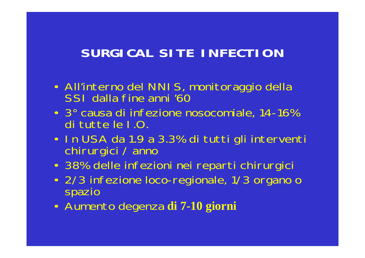### **SURGICAL SITE INFECTION**

- All'interno del NNIS, monitoraggio della SSI dalla fine anni '60
- 3° causa di infezione nosocomiale, 14-16% di tutte le I.O.
- In USA da 1.9 a 3.3% di tutti gli interventi chirurgici / anno
- 38% delle infezioni nei reparti chirurgici
- • 2/3 infezione loco-regionale, 1/3 organo o spazio
- Aumento degenza **di 7-10 giorni**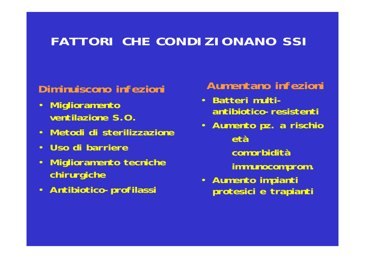# **FATTORI CHE CONDIZIONANO SSI**

### **Diminuiscono infezioni**

- **Miglioramento ventilazione S.O.**
- **Metodi di sterilizzazione**
- **Uso di barriere**
- $\bullet$  **Miglioramento tecniche chirurgiche**
- **Antibiotico-profilassi**

### **Aumentano infezioni**

- $\bullet$  **Batteri multiantibiotico-resistenti**
- $\bullet$  **Aumento pz. a rischio etàcomorbidità immunocomprom.**
- **Aumento impianti protesici e trapianti**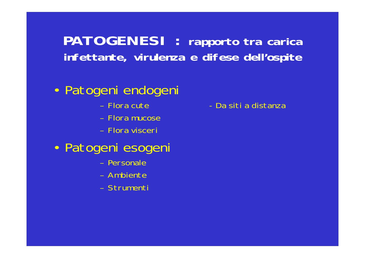### **PATOGENESI : rapporto tra carica infettante, virulenza e difese dell'ospite**

#### •Patogeni endogeni

- Flora cute
- Flora mucose
- Flora visceri

#### •Patogeni esogeni

- Personale
- Ambiente
- Strumenti

Flora cute - Da siti a distanza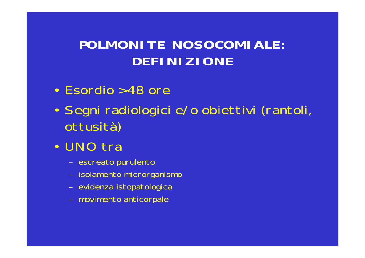## **POLMONITE NOSOCOMIALE: DEFINIZIONE**

- •Esordio > 48 ore
- • Segni radiologici e/o obiettivi (rantoli, ottusità)
- •UNO tra
	- escreato purulento
	- isolamento microrganismo
	- evidenza istopatologica
	- movimento anticorpale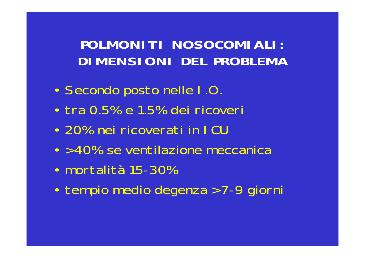### **POLMONITI NOSOCOMIALI: DIMENSIONI DEL PROBLEMA**

- •Secondo posto nelle I.O.
- •tra 0.5% e 1.5% dei ricoveri
- •20% nei ricoverati in ICU
- •> 40% se ventilazione meccanica
- •mortalità 15-30%
- •tempio medio degenza > 7-9 giorni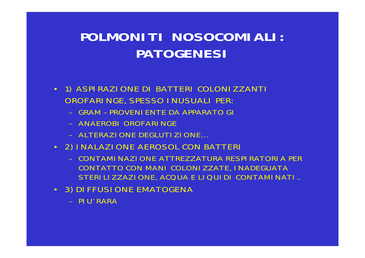### POLMONITI NOSOCOMIALI: **PATOGENESI**

- 1) ASPIRAZIONE DI BATTERI COLONIZZANTI  $\bullet$ **OROFARINGE, SPESSO INUSUALI PER:** 
	- GRAM PROVENI ENTE DA APPARATO GI
	- ANAEROBI OROFARINGE
	- ALTERAZIONE DEGLUTIZIONE...
- 2) INALAZIONE AEROSOL CON BATTERI
	- CONTAMINAZIONE ATTREZZATURA RESPIRATORIA PER CONTATTO CON MANI COLONIZZATE, INADEGUATA STERILIZZAZIONE, ACQUA E LIQUIDI CONTAMINATI..
- 3) DI FFUSI ONE EMATOGENA
	- PIU'RARA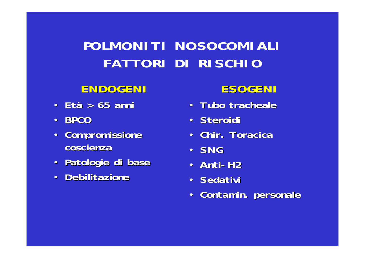## **POLMONITI NOSOCOMIALIFATTORI DI RISCHIO**

#### $E$ **NDOGENI**

- **Età > 65 anni Età > 65 anni**
- **BPCO**
- $\bullet$  **Compromissione Compromissione coscienza coscienza**
- **Patologie di base Patologie di base**
- **Debilitazione Debilitazione**

### **ESOGENI ESOGENI**

- **Tubo tracheale Tubo tracheale**
- **Steroidi**
- **Chir. Toracica Toracica**
- **SNG**
- •**Anti-H2**
- **Sedativi**
- **Contamin Contamin. personale . personale**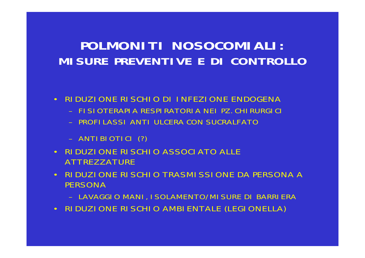### **POLMONITI NOSOCOMIALI: MISURE PREVENTIVE E DI CONTROLLO**

- • RIDUZIONE RISCHIO DI INFEZIONE ENDOGENA
	- FI SI OTERAPI A RESPI RATORI A NEI PZ. CHI RURGI C
	- PROFILASSI ANTI ULCERA CON SUCRALFATO
	- ANTIBIOTICI (?)
- RIDUZIONE RISCHIO ASSOCIATO ALLE ATTREZZATURE
- • RIDUZIONE RISCHIO TRASMISSIONE DA PERSONA A PERSONA
	- LAVAGGIO MANI, ISOLAMENTO/MISURE DI BARRIERA
- RIDUZIONE RISCHIO AMBIENTALE (LEGIONELLA)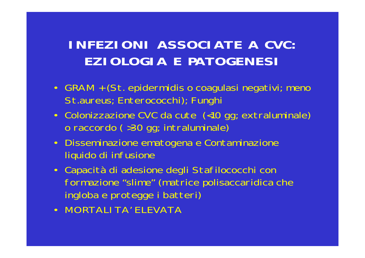## **INFEZIONI ASSOCIATE A CVC: EZIOLOGIA E PATOGENESI**

- GRAM + (St. epidermidis o coagulasi negativi; meno St.aureus; Enterococchi); Funghi
- Colonizzazione CVC da cute (<10 gg; extraluminale) o raccordo ( >30 gg; intraluminale)
- Disseminazione ematogena e Contaminazione liquido di infusione
- Capacità di adesione degli Stafilococchi con formazione "slime" (matrice polisaccaridica che ingloba e protegge i batteri)
- MORTALI TA' ELEVATA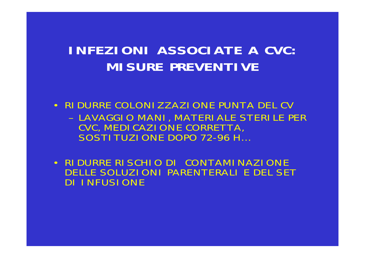### **INFEZIONI ASSOCIATE A CVC: MISURE PREVENTIVE**

- RI DURRE COLONI ZZAZI ONE PUNTA DEL CV - LAVAGGIO MANI, MATERIALE STERILE PER CVC, MEDI CAZI ONE CORRETTA, SOSTI TUZI ONE DOPO 72-96 H...
- RIDURRE RISCHIO DI CONTAMINAZIONE DELLE SOLUZIONI PARENTERALI E DEL SET **DI INFUSIONE**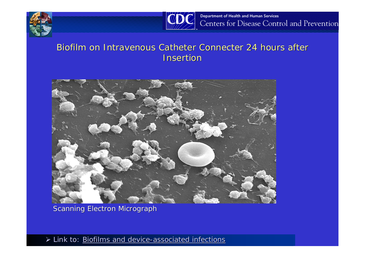



#### Biofilm on Intravenous Catheter Connecter 24 hours after **Insertior**



Scanning Electron Micrograph

¾ *Link to: Link to: Biofilms Biofilms and device and device-associated infections associated infections*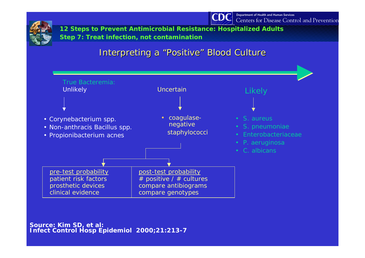



**12 Steps to Prevent Antimicrobial Resistance: Hospitalized Adults** *Step 7: Treat infection, not contamination*

#### Interpreting a "Positive" Blood Culture



*Source: Kim SD, et al: Infect Control Hosp Epidemiol 2000;21:213-7*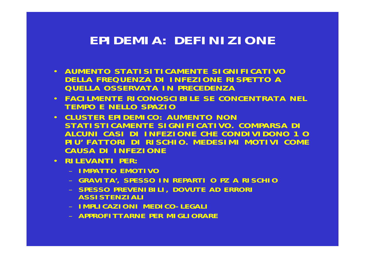### EPIDEMIA: DEFINIZIONE

- . AUMENTO STATISITICAMENTE SIGNIFICATIVO **DELLA FREQUENZA DI INFEZIONE RISPETTO A OUFLLA OSSERVATA IN PRECEDENZA**
- FACILMENTE RICONOSCIBILE SE CONCENTRATA NEL **TEMPO E NELLO SPAZIO**
- CLUSTER EPIDEMICO: AUMENTO NON STATI STI CAMENTE SI GNI FI CATI VO. COMPARSA DI ALCUNI CASI DI INFEZIONE CHE CONDIVIDONO 1 O PIU' FATTORI DI RISCHIO. MEDESIMI MOTIVI COME **CAUSA DI INFEZIONE**
- RILEVANTI PER:
	- IMPATTO FMOTIVO
	- GRAVITA'. SPESSO IN REPARTI O PZ A RISCHIO
	- SPESSO PREVENIBILI, DOVUTE AD ERRORI **ASSISTENZIALI**
	- IMPLICAZIONI MEDICO-LEGALI
	- APPROFLITTARNE PER MIGLIORARE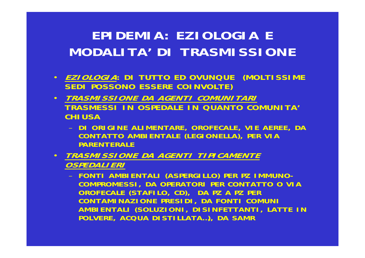## **EPIDEMIA: EZIOLOGIA E MODALITA' DI TRASMISSIONE**

- **EZIOLOGIA: DI TUTTO ED OVUNQUE (MOLTISSIME SEDI POSSONO ESSERE COINVOLTE)**
- **TRASMISSIONE DA AGENTI COMUNITARITRASMESSI IN OSPEDALE IN QUANTO COMUNITA' CHIUSA**
	- **DI ORIGINE ALIMENTARE, OROFECALE, VIE AEREE, DA CONTATTO AMBIENTALE (LEGIONELLA), PER VIA PARENTERALE**
- **TRASMISSIONE DA AGENTI TIPICAMENTE OSPEDALIERI**
	- **FONTI AMBIENTALI (ASPERGILLO) PER PZ IMMUNO-COMPROMESSI, DA OPERATORI PER CONTATTO O VIA OROFECALE (STAFILO, CD), DA PZ A PZ PER CONTAMINAZIONE PRESIDI, DA FONTI COMUNI AMBIENTALI (SOLUZIONI, DISINFETTANTI, LATTE IN POLVERE, ACQUA DISTILLATA…), DA SAMR**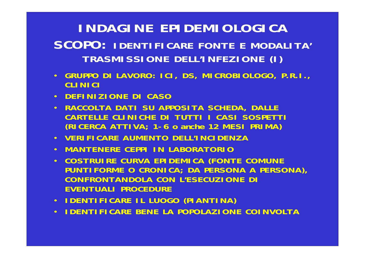**INDAGINE EPIDEMIOLOGICASCOPO: IDENTIFICARE FONTE E MODALITA' TRASMISSIONE DELL'INFEZIONE (I)**

- **GRUPPO DI LAVORO: ICI, DS, MICROBIOLOGO, P.R.I., CLINICI**
- **DEFINIZIONE DI CASO**
- **RACCOLTA DATI SU APPOSITA SCHEDA, DALLE CARTELLE CLINICHE DI TUTTI I CASI SOSPETTI (RICERCA ATTIVA; 1-6 o anche 12 MESI PRIMA)**
- **VERIFICARE AUMENTO DELL'INCIDENZA**
- **MANTENERE CEPPI IN LABORATORIO**
- **COSTRUIRE CURVA EPIDEMICA (FONTE COMUNE PUNTIFORME O CRONICA; DA PERSONA A PERSONA), CONFRONTANDOLA CON L'ESECUZIONE DI EVENTUALI PROCEDURE**
- **IDENTIFICARE IL LUOGO (PIANTINA)**
- **IDENTIFICARE BENE LA POPOLAZIONE COINVOLTA**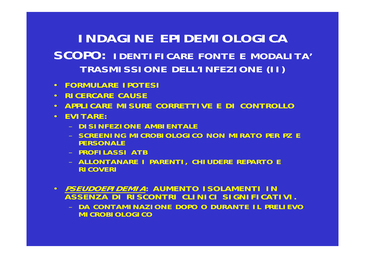INDAGINE EPIDEMIOLOGICA SCOPO: IDENTIFICARE FONTE E MODALITA' **TRASMISSIONE DELL'INFEZIONE (II)** 

- **· FORMULARE IPOTESI**
- · RICERCARE CAUSE
- APPLICARE MISURE CORRETTIVE E DI CONTROLLO
- $\cdot$  EVITARE:
	- DI SINFEZIONE AMBIENTALE
	- SCREENING MICROBIOLOGICO NON MIRATO PER PZ E **PFRSONALF**
	- PROFILASSI ATR
	- ALLONTANARE I PARENTI, CHIUDERE REPARTO E **RICOVERI**
- *PSEUDOEPI DEMI A*: AUMENTO I SOLAMENTI IN  $\bullet$ ASSENZA DI RISCONTRI CLINICI SIGNIFICATIVI. - DA CONTAMINAZIONE DOPO O DURANTE IL PRELIEVO **MI CROBI OLOGICO**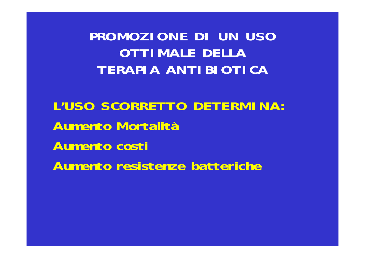**PROMOZIONE DI UN USO OTTIMALE DELLA TERAPIA ANTIBIOTICA**

**L'USO SCORRETTO DETERMINA:Aumento MortalitàAumento costi Aumento resistenze batteriche**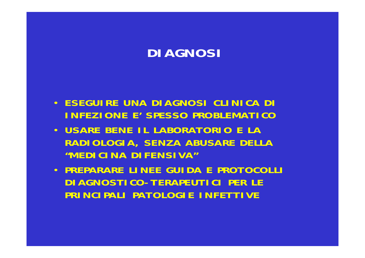### **DIAGNOSI**

- **ESEGUIRE UNA DIAGNOSI CLINICA DI INFEZIONE E' SPESSO PROBLEMATICO**
- **USARE BENE IL LABORATORIO E LA** RADIOLOGIA, SENZA ABUSARE DELLA **"MEDICINA DIFENSIVA"**
- · PREPARARE LINEE GUIDA E PROTOCOLLI **DI AGNOSTICO-TERAPEUTICI PER LE PRINCIPALI PATOLOGIE INFETTIVE**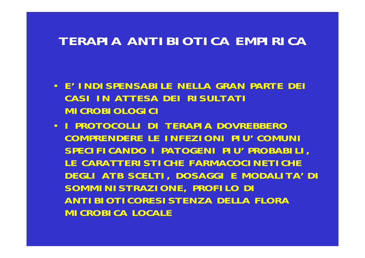### TERAPIA ANTIBIOTICA EMPIRICA

- E' INDISPENSABILE NELLA GRAN PARTE DEI CASI IN ATTESA DEI RISULTATI **MI CROBI OLOGICI**
- I PROTOCOLLI DI TERAPIA DOVREBBERO COMPRENDERE LE INFEZIONI PIU' COMUNI SPECIFICANDO I PATOGENI PIU' PROBABILI, LE CARATTERISTICHE FARMACOCINETICHE DEGLI ATB SCELTI, DOSAGGI E MODALITA' DI SOMMINISTRAZIONE, PROFILO DI **ANTIBIOTICORESISTENZA DELLA FLORA MICROBICA LOCALE**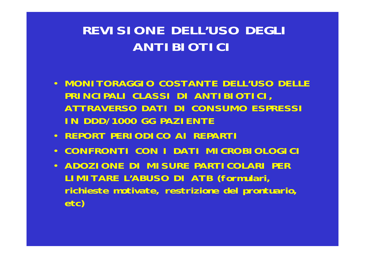### **REVISIONE DELL'USO DEGLI ANTIBIOTICI**

- **MONITORAGGIO COSTANTE DELL'USO DELLE PRINCIPALI CLASSI DI ANTIBIOTICI, ATTRAVERSO DATI DI CONSUMO ESPRESSI IN DDD/1000 GG PAZIENTE**
- **REPORT PERIODICO AI REPART**
- •**CONFRONTI CON I DATI MICROBIOLOGICI**
- **ADOZIONE DI MISURE PARTICOLARI PER LIMITARE L'ABUSO DI ATB (formulari, richieste motivate, restrizione del prontuario, etc)**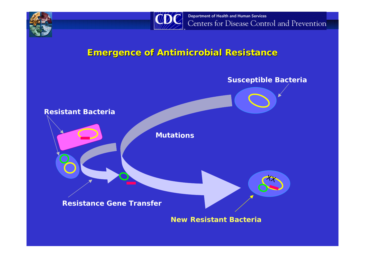



#### **Emergence of Antimicrobial Resistance Emergence of Antimicrobial Resistance**

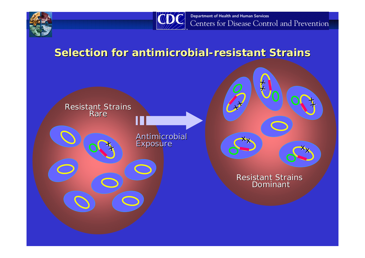



#### **Selection for antimicrobial Selection for antimicrobial-resistant Strains resistant Strains**

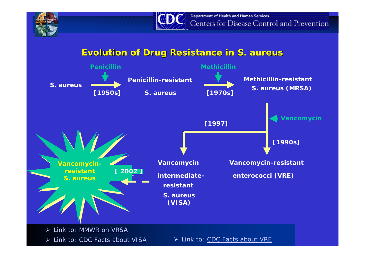



#### **Evolution of Drug Resistance in S. aureus**



¾ *Link to: CDC Facts about VISA* ¾ *Link to: CDC Facts about VRE*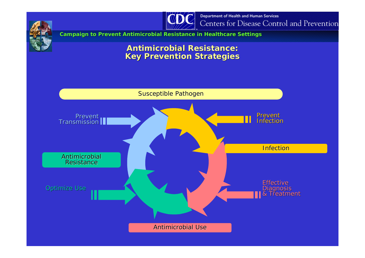

**Department of Health and Human Services** Centers for Disease Control and Prevention



**Campaign to Prevent Antimicrobial Resistance in Healthcare Settings** 

#### *Antimicrobial Resistance: Antimicrobial Resistance:***Key Prevention Strategies Key Prevention Strategies**

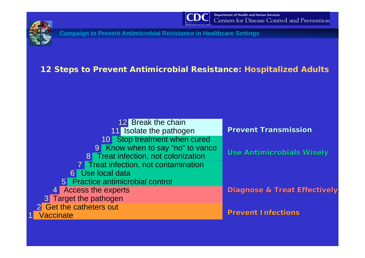

**Campaign to Prevent Antimicrobial Resistance in Healthcare Settings**

#### **12 Steps to Prevent Antimicrobial Resistance: Hospitalized Adults**

| 12 Break the chain<br>11 Isolate the pathogen                                                           | <b>Prevent Transmission</b>             |  |  |
|---------------------------------------------------------------------------------------------------------|-----------------------------------------|--|--|
| 10 Stop treatment when cured<br>9 Know when to say "no" to vanco<br>8 Treat infection, not colonization | Use Antimicrobials Wisely               |  |  |
| 7 Treat infection, not contamination<br>6 Use local data<br>5 Practice antimicrobial control            |                                         |  |  |
| <b>Access the experts</b><br>4<br>3 Target the pathogen                                                 | <b>Diagnose &amp; Treat Effectively</b> |  |  |
| Get the catheters out<br><b>Vaccinate</b>                                                               | <b>Prevent Infections</b>               |  |  |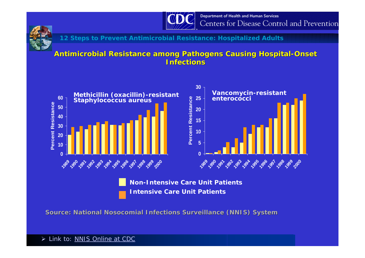



**12 Steps to Prevent Antimicrobial Resistance: Hospitalized Adults**

#### **Antimicrobial Resistance amon Antimicrobial Resistance among Pathogens Causing Hospital g Pathogens Causing Hospital-Onset Infections Infections**



**Intensive Care Unit Patients**

**Source: National Nosocomial Infections Surveillance (NNIS) System**

 $\blacktriangleright$ *Link to: NNIS Online at CDC*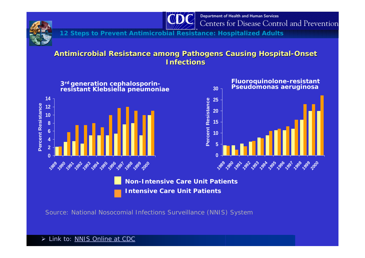

**Department of Health and Human Services** Centers for Disease Control and Prevention

**12 Steps to Prevent Antimicrobial Resistance: Hospitalized Adults**

#### **Antimicrobial Resistance amon Antimicrobial Resistance among Pathogens Causing Hospital g Pathogens Causing Hospital-Onset Infections Infections**



Source: National Nosocomial Infections Surveillance (NNIS) System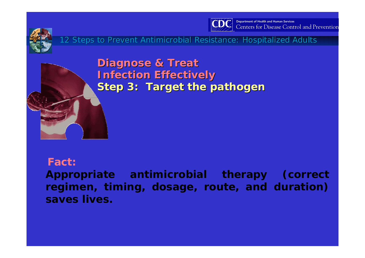



12 Steps to Prevent Antimicrobial Resistance: Hospitalized Adults

#### *Diagnose & Treat Diagnose & Treat Infection Effectively Infection Effectively* **Step 3: Target the pathogen Step 3: Target the pathogen**

#### **Fact:**

**Appropriate antimicrobial therapy (correct regimen, timing, dosage, route, and duration) saves lives.**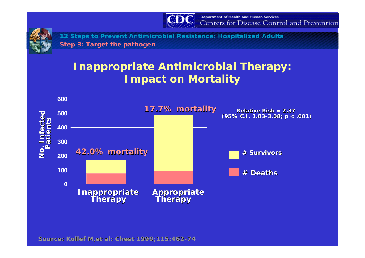



**12 Steps to Prevent Antimicrobial Resistance: Hospitalized Adults Step 3: Target the pathogen**

#### **Inappropriate Antimicrobial Therapy: Impact on Mortality**



*Source: Kollef M,et al Source: Kollef M,et al: Chest 1999;115:462-74*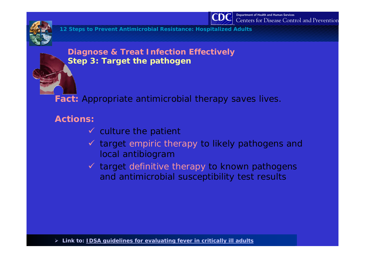



**12 Steps to Prevent Antimicrobial Resistance: Hospitalized Adults**

#### *Diagnose & Treat Infection Effectively* **Step 3: Target the pathogen**

**Fact:** Appropriate antimicrobial therapy saves lives.

#### **Actions:**

- $\checkmark$  culture the patient
- $\checkmark$  target empiric therapy to likely pathogens and local antibiogram
- $\checkmark$  target definitive therapy to known pathogens and antimicrobial susceptibility test results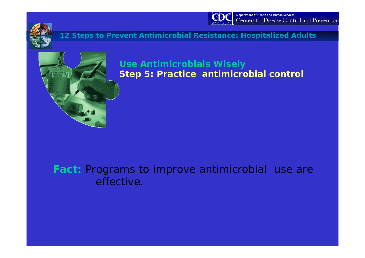



#### **12 Steps to Prevent Antimicrobial Resistance: Hospitalized Adults**



#### *Use Antimicrobials Wisely* **Step 5: Practice antimicrobial control**

#### **Fact:** Programs to improve antimicrobial use are effective.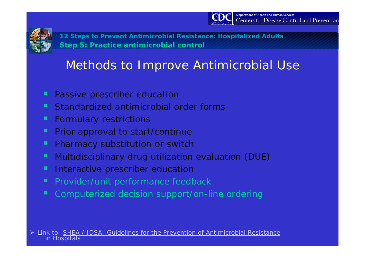



**12 Steps to Prevent Antimicrobial Resistance: Hospitalized Adults** *Step 5: Practice antimicrobial control*

### Methods to Improve Antimicrobial Use

- п Passive prescriber education
- $\blacksquare$ Standardized antimicrobial order forms
- п Formulary restrictions
- $\blacksquare$ Prior approval to start/continue
- п Pharmacy substitution or switch
- п Multidisciplinary drug utilization evaluation (DUE)
- п Interactive prescriber education
- Provider/unit performance feedback
- п Computerized decision support/on-line ordering

¾ *Link to: SHEA / IDSA: Guidelines for the Prevention of Antimicrobial Resistance in Hospitals*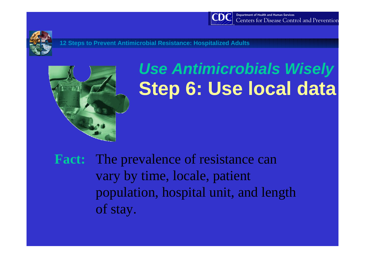



**12 Steps to Prevent Antimicrobial Resistance: Hospitalized Adults**



# *Use Antimicrobials Wisely* **Step 6: Use local data**

**Fact:** The prevalence of resistance can vary by time, locale, patient population, hospital unit, and length of stay.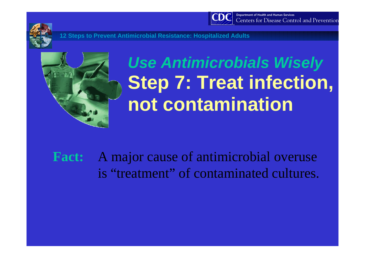



**12 Steps to Prevent Antimicrobial Resistance: Hospitalized Adults**



# *Use Antimicrobials Wisely* **Step 7: Treat infection, not contamination**

**Fact:** A major cause of antimicrobial overuse is "treatment" of contaminated cultures.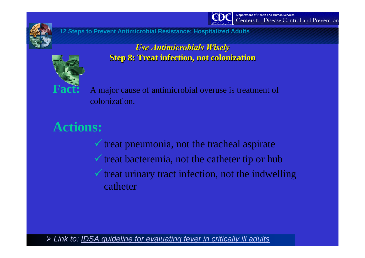

**Department of Health and Human Services** Centers for Disease Control and Prevention



#### **12 Steps to Prevent Antimicrobial Resistance: Hospitalized Adults**



*Use Antimicrobials Wisely Use Antimicrobials Wisely* **Step 8: Treat infection, not colonization** 

**Fact:** A major cause of antimicrobial overuse is treatment of colonization.

## **Actions:**

- $\checkmark$  treat pneumonia, not the tracheal aspirate
- $\checkmark$  treat bacteremia, not the catheter tip or hub
- $\checkmark$  treat urinary tract infection, not the indwelling catheter

#### ¾ *Link to: IDSA guideline for evaluating fever in critically ill adults*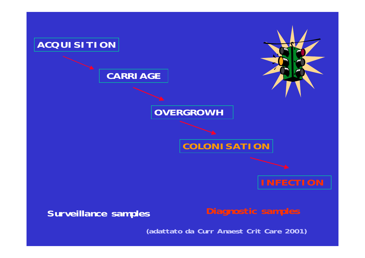

**Surveillance samples Diagnostic samples**

**(adattato da Curr Anaest Crit Care 2001)**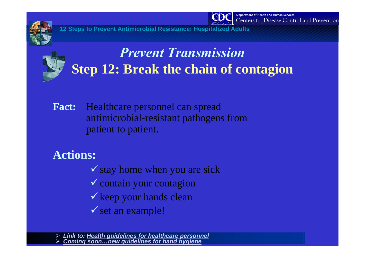

Department of Health and Human Services Centers for Disease Control and Prevention

**12 Steps to Prevent Antimicrobial Resistance: Hospitalized Adults**



### *Prevent Transmission* **Step 12: Break the chain of contagion**

**Fact:** Healthcare personnel can spread antimicrobial-resistant pathogens from patient to patient.

**Actions:**

 $\checkmark$  stay home when you are sick  $\checkmark$  contain your contagion  $\checkmark$  keep your hands clean  $\checkmark$  set an example!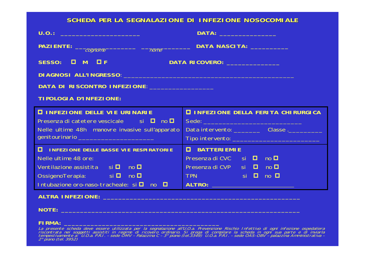**SCHEDA PER LA SEGNALAZIONE SCHEDA PER LA SEGNALAZIONE DI INFEZIONE NOSOCOMIALE DI INFEZIONE NOSOCOMIALE**

| <u>U.O.: Experimental Contractor</u>                                                                                                | DATA: New York State State State State State State State State State State State State State State State State |  |  |  |  |  |
|-------------------------------------------------------------------------------------------------------------------------------------|----------------------------------------------------------------------------------------------------------------|--|--|--|--|--|
| PAZIENTE: $\frac{1}{\text{cognome}}$ $\frac{1}{\text{cognome}}$ $\frac{1}{\text{cognome}}$ DATA NASCITA: $\frac{1}{\text{cognone}}$ |                                                                                                                |  |  |  |  |  |
| <b>Service Service</b><br>SESSO: 0 M OF<br>DATA RICOVERO: _______________                                                           |                                                                                                                |  |  |  |  |  |
| DI AGNOSI ALL'I NGRESSO: LA CANCELLA CONTRA LA CANCELLA CONTRA LA CANCELLA CONTRA LA CANCELLA CONTRA LA CANCEL                      |                                                                                                                |  |  |  |  |  |
| DATA DI RISCONTRO INFEZIONE: _____________________                                                                                  |                                                                                                                |  |  |  |  |  |
| <b>TIPOLOGIA D'INFEZIONE:</b>                                                                                                       |                                                                                                                |  |  |  |  |  |
| <b>O INFEZIONE DELLE VIE URINARIE</b>                                                                                               | <b>D</b> INFEZIONE DELLA FERITA CHIRURGICA                                                                     |  |  |  |  |  |
| Presenza di catetere vescicale si □ no □                                                                                            |                                                                                                                |  |  |  |  |  |
| Nelle ultime 48h manovre invasive sull'apparato                                                                                     |                                                                                                                |  |  |  |  |  |
|                                                                                                                                     |                                                                                                                |  |  |  |  |  |
| <b>D</b> INFEZIONE DELLE BASSE VIE RESPIRATORIE                                                                                     | <b>D</b> BATTERIEMIE                                                                                           |  |  |  |  |  |
| Nelle ultime 48 ore:                                                                                                                | Presenza di CVC si $\Box$ no $\Box$                                                                            |  |  |  |  |  |
| Ventilazione assistita $\Box$ no $\Box$                                                                                             | Presenza di CVP si <b>□</b> no <b>□</b>                                                                        |  |  |  |  |  |
| OssigenoTerapia: si <b>□</b> no <b>□</b>                                                                                            | TPN Si DI no DI                                                                                                |  |  |  |  |  |
| Intubazione oro-naso-tracheale: $\sin \Box$ no $\Box$                                                                               | ALTRO: ALTRO AND ALTRO AND ALTRO AND ALTRO AND A                                                               |  |  |  |  |  |
| <b>ALTRA INFEZIONE:</b>                                                                                                             |                                                                                                                |  |  |  |  |  |

#### **NOTE: \_\_\_\_\_\_\_\_\_\_\_\_\_\_\_\_\_\_\_\_\_\_\_\_\_\_\_\_\_\_\_\_\_\_\_\_\_\_\_\_\_\_\_\_\_\_\_\_\_\_\_\_\_\_\_\_\_\_\_\_\_\_\_**

#### **FIRMA: \_\_\_\_\_\_\_\_\_\_\_\_\_\_\_\_\_\_\_\_\_\_\_\_\_\_\_\_\_\_\_\_\_\_\_\_\_\_\_\_\_**

La presente scheda deve essere utilizzata per la segnalazione all'U.O.a. Prevenzione Rischio Infettivo di ogni infezione ospedaliera<br>riscontrata nei soggetti assistiti in regime di ricovero ordinario. Si prega di compilare